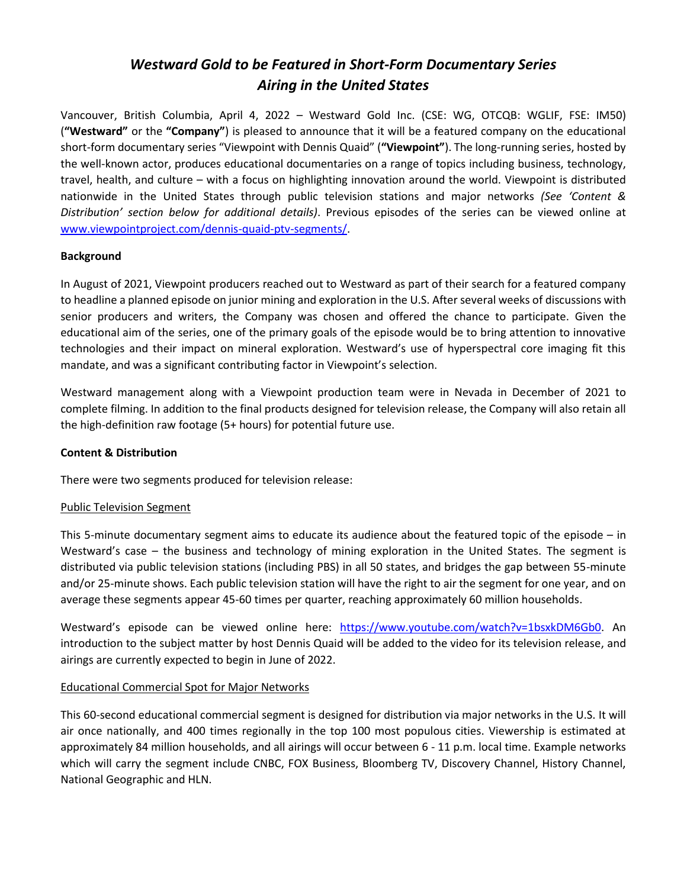# *Westward Gold to be Featured in Short-Form Documentary Series Airing in the United States*

Vancouver, British Columbia, April 4, 2022 – Westward Gold Inc. (CSE: WG, OTCQB: WGLIF, FSE: IM50) (**"Westward"** or the **"Company"**) is pleased to announce that it will be a featured company on the educational short-form documentary series "Viewpoint with Dennis Quaid" (**"Viewpoint"**). The long-running series, hosted by the well-known actor, produces educational documentaries on a range of topics including business, technology, travel, health, and culture – with a focus on highlighting innovation around the world. Viewpoint is distributed nationwide in the United States through public television stations and major networks *(See 'Content & Distribution' section below for additional details)*. Previous episodes of the series can be viewed online at [www.viewpointproject.com/dennis-quaid-ptv-segments/.](http://www.viewpointproject.com/dennis-quaid-ptv-segments/)

## **Background**

In August of 2021, Viewpoint producers reached out to Westward as part of their search for a featured company to headline a planned episode on junior mining and exploration in the U.S. After several weeks of discussions with senior producers and writers, the Company was chosen and offered the chance to participate. Given the educational aim of the series, one of the primary goals of the episode would be to bring attention to innovative technologies and their impact on mineral exploration. Westward's use of hyperspectral core imaging fit this mandate, and was a significant contributing factor in Viewpoint's selection.

Westward management along with a Viewpoint production team were in Nevada in December of 2021 to complete filming. In addition to the final products designed for television release, the Company will also retain all the high-definition raw footage (5+ hours) for potential future use.

### **Content & Distribution**

There were two segments produced for television release:

### Public Television Segment

This 5-minute documentary segment aims to educate its audience about the featured topic of the episode – in Westward's case – the business and technology of mining exploration in the United States. The segment is distributed via public television stations (including PBS) in all 50 states, and bridges the gap between 55-minute and/or 25-minute shows. Each public television station will have the right to air the segment for one year, and on average these segments appear 45-60 times per quarter, reaching approximately 60 million households.

Westward's episode can be viewed online here: [https://www.youtube.com/watch?v=1bsxkDM6Gb0.](https://www.youtube.com/watch?v=1bsxkDM6Gb0) An introduction to the subject matter by host Dennis Quaid will be added to the video for its television release, and airings are currently expected to begin in June of 2022.

### Educational Commercial Spot for Major Networks

This 60-second educational commercial segment is designed for distribution via major networks in the U.S. It will air once nationally, and 400 times regionally in the top 100 most populous cities. Viewership is estimated at approximately 84 million households, and all airings will occur between 6 - 11 p.m. local time. Example networks which will carry the segment include CNBC, FOX Business, Bloomberg TV, Discovery Channel, History Channel, National Geographic and HLN.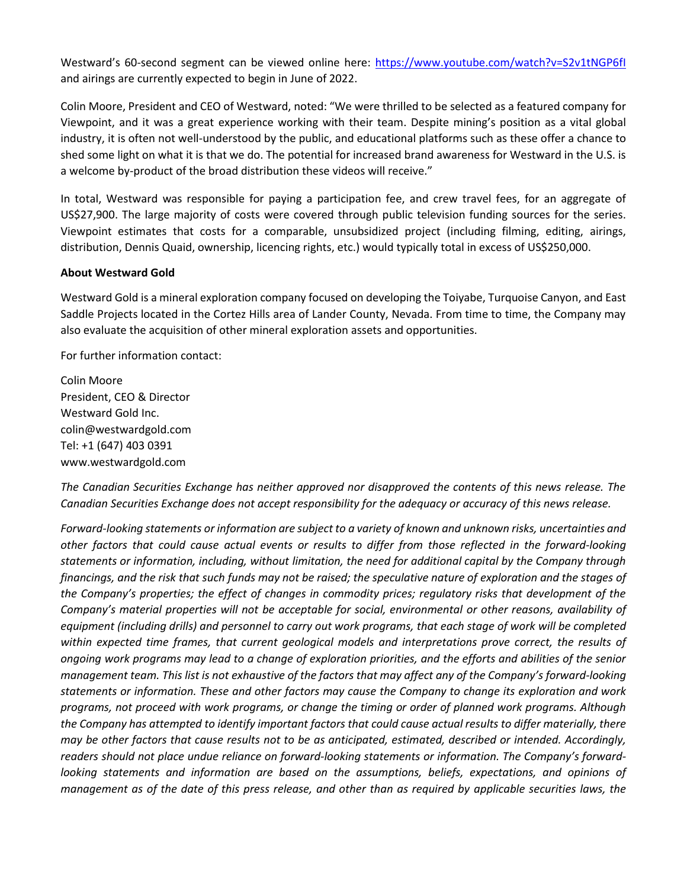Westward's 60-second segment can be viewed online here:<https://www.youtube.com/watch?v=S2v1tNGP6fI> and airings are currently expected to begin in June of 2022.

Colin Moore, President and CEO of Westward, noted: "We were thrilled to be selected as a featured company for Viewpoint, and it was a great experience working with their team. Despite mining's position as a vital global industry, it is often not well-understood by the public, and educational platforms such as these offer a chance to shed some light on what it is that we do. The potential for increased brand awareness for Westward in the U.S. is a welcome by-product of the broad distribution these videos will receive."

In total, Westward was responsible for paying a participation fee, and crew travel fees, for an aggregate of US\$27,900. The large majority of costs were covered through public television funding sources for the series. Viewpoint estimates that costs for a comparable, unsubsidized project (including filming, editing, airings, distribution, Dennis Quaid, ownership, licencing rights, etc.) would typically total in excess of US\$250,000.

#### **About Westward Gold**

Westward Gold is a mineral exploration company focused on developing the Toiyabe, Turquoise Canyon, and East Saddle Projects located in the Cortez Hills area of Lander County, Nevada. From time to time, the Company may also evaluate the acquisition of other mineral exploration assets and opportunities.

For further information contact:

Colin Moore President, CEO & Director Westward Gold Inc. colin@westwardgold.com Tel: +1 (647) 403 0391 www.westwardgold.com

*The Canadian Securities Exchange has neither approved nor disapproved the contents of this news release. The Canadian Securities Exchange does not accept responsibility for the adequacy or accuracy of this news release.*

*Forward-looking statements or information are subject to a variety of known and unknown risks, uncertainties and other factors that could cause actual events or results to differ from those reflected in the forward-looking statements or information, including, without limitation, the need for additional capital by the Company through financings, and the risk that such funds may not be raised; the speculative nature of exploration and the stages of the Company's properties; the effect of changes in commodity prices; regulatory risks that development of the Company's material properties will not be acceptable for social, environmental or other reasons, availability of* equipment (including drills) and personnel to carry out work programs, that each stage of work will be completed *within expected time frames, that current geological models and interpretations prove correct, the results of ongoing work programs may lead to a change of exploration priorities, and the efforts and abilities of the senior management team. This list is not exhaustive of the factors that may affect any of the Company's forward-looking statements or information. These and other factors may cause the Company to change its exploration and work programs, not proceed with work programs, or change the timing or order of planned work programs. Although the Company has attempted to identify important factors that could cause actual results to differ materially, there may be other factors that cause results not to be as anticipated, estimated, described or intended. Accordingly, readers should not place undue reliance on forward-looking statements or information. The Company's forwardlooking statements and information are based on the assumptions, beliefs, expectations, and opinions of management as of the date of this press release, and other than as required by applicable securities laws, the*